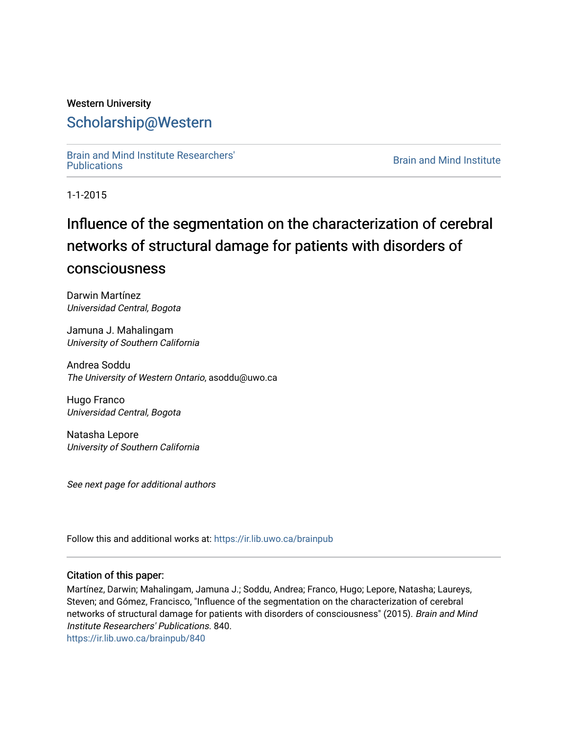### Western University [Scholarship@Western](https://ir.lib.uwo.ca/)

[Brain and Mind Institute Researchers'](https://ir.lib.uwo.ca/brainpub) 

**Brain and Mind Institute** 

1-1-2015

# Influence of the segmentation on the characterization of cerebral networks of structural damage for patients with disorders of consciousness

Darwin Martínez Universidad Central, Bogota

Jamuna J. Mahalingam University of Southern California

Andrea Soddu The University of Western Ontario, asoddu@uwo.ca

Hugo Franco Universidad Central, Bogota

Natasha Lepore University of Southern California

See next page for additional authors

Follow this and additional works at: [https://ir.lib.uwo.ca/brainpub](https://ir.lib.uwo.ca/brainpub?utm_source=ir.lib.uwo.ca%2Fbrainpub%2F840&utm_medium=PDF&utm_campaign=PDFCoverPages)

#### Citation of this paper:

Martínez, Darwin; Mahalingam, Jamuna J.; Soddu, Andrea; Franco, Hugo; Lepore, Natasha; Laureys, Steven; and Gómez, Francisco, "Influence of the segmentation on the characterization of cerebral networks of structural damage for patients with disorders of consciousness" (2015). Brain and Mind Institute Researchers' Publications. 840.

[https://ir.lib.uwo.ca/brainpub/840](https://ir.lib.uwo.ca/brainpub/840?utm_source=ir.lib.uwo.ca%2Fbrainpub%2F840&utm_medium=PDF&utm_campaign=PDFCoverPages)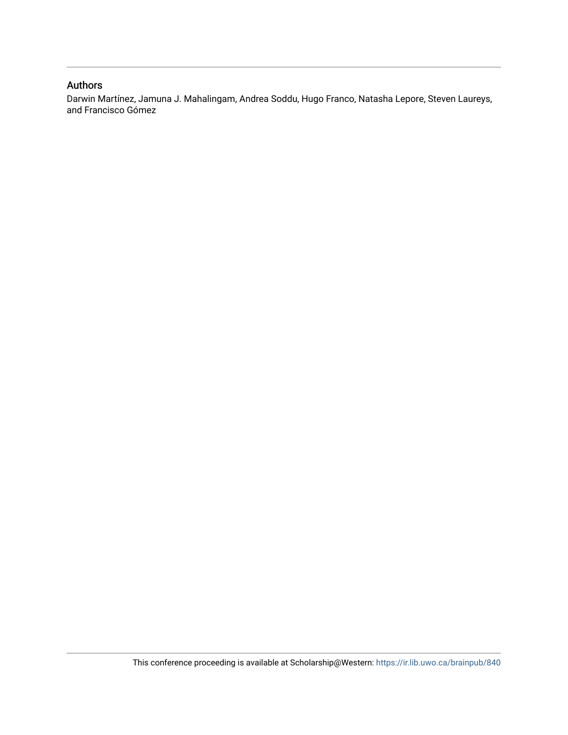#### Authors

Darwin Martínez, Jamuna J. Mahalingam, Andrea Soddu, Hugo Franco, Natasha Lepore, Steven Laureys, and Francisco Gómez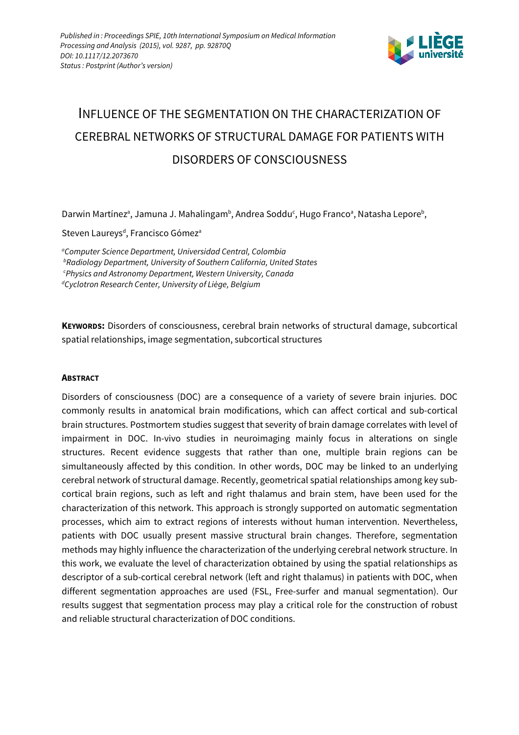

# INFLUENCE OF THE SEGMENTATION ON THE CHARACTERIZATION OF CEREBRAL NETWORKS OF STRUCTURAL DAMAGE FOR PATIENTS WITH DISORDERS OF CONSCIOUSNESS

Darwin Martínez<sup>a</sup>, Jamuna J. Mahalingam<sup>b</sup>, Andrea Soddu<sup>c</sup>, Hugo Franco<sup>a</sup>, Natasha Lepore<sup>b</sup>,

Steven Laureys<sup>d</sup>, Francisco Gómez<sup>a</sup>

<sup>a</sup>Computer Science Department, Universidad Central, Colombia **bRadiology Department, University of Southern California, United States** <sup>c</sup>Physics and Astronomy Department, Western University, Canada dCyclotron Research Center, University of Liège, Belgium

**KEYWORDS:** Disorders of consciousness, cerebral brain networks of structural damage, subcortical spatial relationships, image segmentation, subcortical structures

#### **ABSTRACT**

Disorders of consciousness (DOC) are a consequence of a variety of severe brain injuries. DOC commonly results in anatomical brain modifications, which can affect cortical and sub-cortical brain structures. Postmortem studies suggest that severity of brain damage correlates with level of impairment in DOC. In-vivo studies in neuroimaging mainly focus in alterations on single structures. Recent evidence suggests that rather than one, multiple brain regions can be simultaneously affected by this condition. In other words, DOC may be linked to an underlying cerebral network of structural damage. Recently, geometrical spatial relationships among key subcortical brain regions, such as left and right thalamus and brain stem, have been used for the characterization of this network. This approach is strongly supported on automatic segmentation processes, which aim to extract regions of interests without human intervention. Nevertheless, patients with DOC usually present massive structural brain changes. Therefore, segmentation methods may highly influence the characterization of the underlying cerebral network structure. In this work, we evaluate the level of characterization obtained by using the spatial relationships as descriptor of a sub-cortical cerebral network (left and right thalamus) in patients with DOC, when different segmentation approaches are used (FSL, Free-surfer and manual segmentation). Our results suggest that segmentation process may play a critical role for the construction of robust and reliable structural characterization of DOC conditions.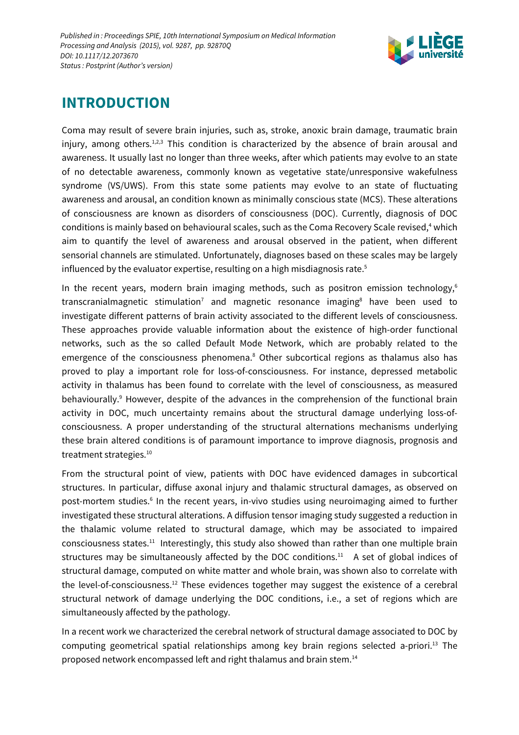

## **INTRODUCTION**

Coma may result of severe brain injuries, such as, stroke, anoxic brain damage, traumatic brain injury, among others.<sup>1,2,3</sup> This condition is characterized by the absence of brain arousal and awareness. It usually last no longer than three weeks, after which patients may evolve to an state of no detectable awareness, commonly known as vegetative state/unresponsive wakefulness syndrome (VS/UWS). From this state some patients may evolve to an state of fluctuating awareness and arousal, an condition known as minimally conscious state (MCS). These alterations of consciousness are known as disorders of consciousness (DOC). Currently, diagnosis of DOC conditions is mainly based on behavioural scales, such as the Coma Recovery Scale revised,<sup>4</sup> which aim to quantify the level of awareness and arousal observed in the patient, when different sensorial channels are stimulated. Unfortunately, diagnoses based on these scales may be largely influenced by the evaluator expertise, resulting on a high misdiagnosis rate.<sup>5</sup>

In the recent years, modern brain imaging methods, such as positron emission technology,<sup>6</sup> transcranialmagnetic stimulation<sup>7</sup> and magnetic resonance imaging<sup>8</sup> have been used to investigate different patterns of brain activity associated to the different levels of consciousness. These approaches provide valuable information about the existence of high-order functional networks, such as the so called Default Mode Network, which are probably related to the emergence of the consciousness phenomena.<sup>8</sup> Other subcortical regions as thalamus also has proved to play a important role for loss-of-consciousness. For instance, depressed metabolic activity in thalamus has been found to correlate with the level of consciousness, as measured behaviourally.<sup>9</sup> However, despite of the advances in the comprehension of the functional brain activity in DOC, much uncertainty remains about the structural damage underlying loss-ofconsciousness. A proper understanding of the structural alternations mechanisms underlying these brain altered conditions is of paramount importance to improve diagnosis, prognosis and treatment strategies.<sup>10</sup>

From the structural point of view, patients with DOC have evidenced damages in subcortical structures. In particular, diffuse axonal injury and thalamic structural damages, as observed on post-mortem studies.<sup>6</sup> In the recent years, in-vivo studies using neuroimaging aimed to further investigated these structural alterations. A diffusion tensor imaging study suggested a reduction in the thalamic volume related to structural damage, which may be associated to impaired consciousness states.<sup>11</sup> Interestingly, this study also showed than rather than one multiple brain structures may be simultaneously affected by the DOC conditions.<sup>11</sup> A set of global indices of structural damage, computed on white matter and whole brain, was shown also to correlate with the level-of-consciousness.<sup>12</sup> These evidences together may suggest the existence of a cerebral structural network of damage underlying the DOC conditions, i.e., a set of regions which are simultaneously affected by the pathology.

In a recent work we characterized the cerebral network of structural damage associated to DOC by computing geometrical spatial relationships among key brain regions selected a-priori.<sup>13</sup> The proposed network encompassed left and right thalamus and brain stem.<sup>14</sup>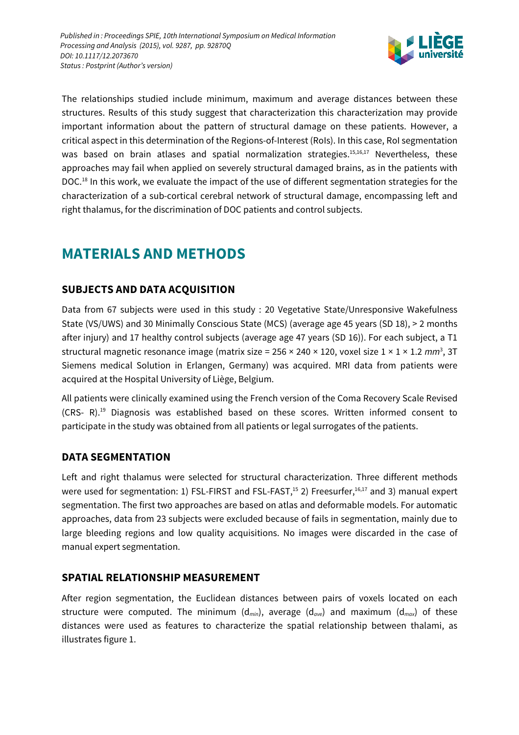

The relationships studied include minimum, maximum and average distances between these structures. Results of this study suggest that characterization this characterization may provide important information about the pattern of structural damage on these patients. However, a critical aspect in this determination of the Regions-of-Interest (RoIs). In this case, RoI segmentation was based on brain atlases and spatial normalization strategies.<sup>15,16,17</sup> Nevertheless, these approaches may fail when applied on severely structural damaged brains, as in the patients with DOC.<sup>18</sup> In this work, we evaluate the impact of the use of different segmentation strategies for the characterization of a sub-cortical cerebral network of structural damage, encompassing left and right thalamus, for the discrimination of DOC patients and control subjects.

## **MATERIALS AND METHODS**

### **SUBJECTS AND DATA ACQUISITION**

Data from 67 subjects were used in this study : 20 Vegetative State/Unresponsive Wakefulness State (VS/UWS) and 30 Minimally Conscious State (MCS) (average age 45 years (SD 18), > 2 months after injury) and 17 healthy control subjects (average age 47 years (SD 16)). For each subject, a T1 structural magnetic resonance image (matrix size = 256 × 240 × 120, voxel size 1 × 1 × 1.2 mm<sup>3</sup>, 3T Siemens medical Solution in Erlangen, Germany) was acquired. MRI data from patients were acquired at the Hospital University of Liège, Belgium.

All patients were clinically examined using the French version of the Coma Recovery Scale Revised  $(CRS-R).<sup>19</sup>$  Diagnosis was established based on these scores. Written informed consent to participate in the study was obtained from all patients or legal surrogates of the patients.

### **DATA SEGMENTATION**

Left and right thalamus were selected for structural characterization. Three different methods were used for segmentation: 1) FSL-FIRST and FSL-FAST,<sup>15</sup> 2) Freesurfer,<sup>16,17</sup> and 3) manual expert segmentation. The first two approaches are based on atlas and deformable models. For automatic approaches, data from 23 subjects were excluded because of fails in segmentation, mainly due to large bleeding regions and low quality acquisitions. No images were discarded in the case of manual expert segmentation.

### **SPATIAL RELATIONSHIP MEASUREMENT**

After region segmentation, the Euclidean distances between pairs of voxels located on each structure were computed. The minimum ( $d_{min}$ ), average ( $d_{ave}$ ) and maximum ( $d_{max}$ ) of these distances were used as features to characterize the spatial relationship between thalami, as illustrates figure 1.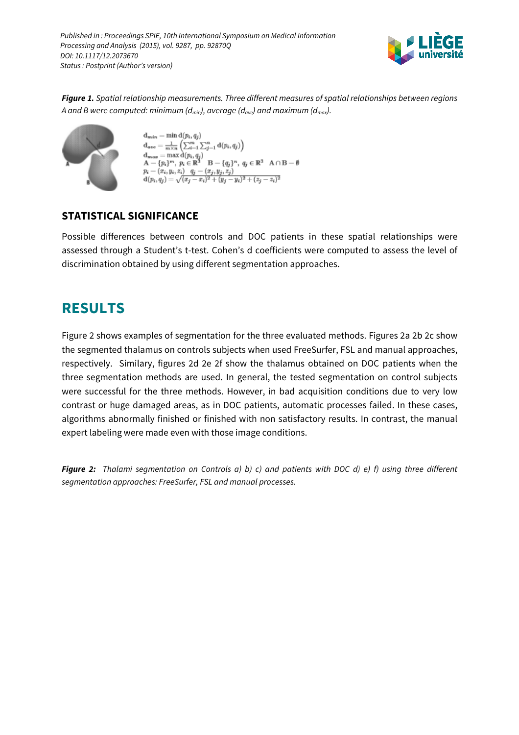

**Figure 1.** Spatial relationship measurements. Three different measures of spatial relationships between regions A and B were computed: minimum ( $d_{min}$ ), average ( $d_{ave}$ ) and maximum ( $d_{max}$ ).



 $d_{min} = min d(p_i, q_j)$  $\mathbf{d}_{ave} = \frac{1}{m \times n} \left( \sum_{i=1}^{m} \sum_{j=1}^{n} \mathbf{d}(p_i, q_j) \right)$  $\begin{array}{l} \mathbf{g} = \max \mathbf{d}(p_i, q_j) \\ \{p_i\}^m, \ p_i \in \mathbb{R}^3 \quad \mathbf{B} - \{q_j\}^n, \ q_j \in \mathbb{R}^3 \quad \mathbf{A} \cap \mathbf{B} - \emptyset \end{array}$  $p_i - (x_i, y_i, z_i)$   $q_j - (x_j, y_j, z_j)$ <br>  $d(p_i, q_j) = \sqrt{(x_j - x_i)^2 + (y_j - y_i)^2 + (z_j - z_i)^2}$ 

### **STATISTICAL SIGNIFICANCE**

Possible differences between controls and DOC patients in these spatial relationships were assessed through a Student's t-test. Cohen's d coefficients were computed to assess the level of discrimination obtained by using different segmentation approaches.

## **RESULTS**

Figure 2 shows examples of segmentation for the three evaluated methods. Figures 2a 2b 2c show the segmented thalamus on controls subjects when used FreeSurfer, FSL and manual approaches, respectively. Similary, figures 2d 2e 2f show the thalamus obtained on DOC patients when the three segmentation methods are used. In general, the tested segmentation on control subjects were successful for the three methods. However, in bad acquisition conditions due to very low contrast or huge damaged areas, as in DOC patients, automatic processes failed. In these cases, algorithms abnormally finished or finished with non satisfactory results. In contrast, the manual expert labeling were made even with those image conditions.

**Figure 2:** Thalami segmentation on Controls a) b) c) and patients with DOC d) e) f) using three different segmentation approaches: FreeSurfer, FSL and manual processes.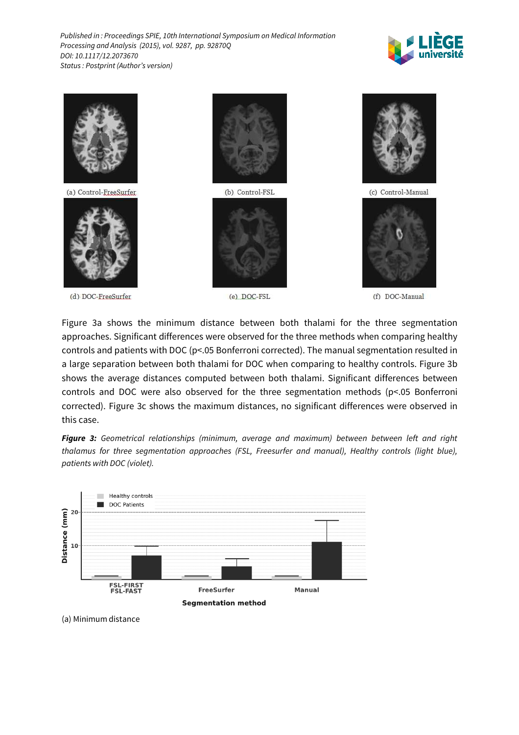



Figure 3a shows the minimum distance between both thalami for the three segmentation approaches. Significant differences were observed for the three methods when comparing healthy controls and patients with DOC (p<.05 Bonferroni corrected). The manual segmentation resulted in a large separation between both thalami for DOC when comparing to healthy controls. Figure 3b shows the average distances computed between both thalami. Significant differences between controls and DOC were also observed for the three segmentation methods (p<.05 Bonferroni corrected). Figure 3c shows the maximum distances, no significant differences were observed in this case.

**Figure 3:** Geometrical relationships (minimum, average and maximum) between between left and right thalamus for three segmentation approaches (FSL, Freesurfer and manual), Healthy controls (light blue), patients with DOC (violet).



(a) Minimum distance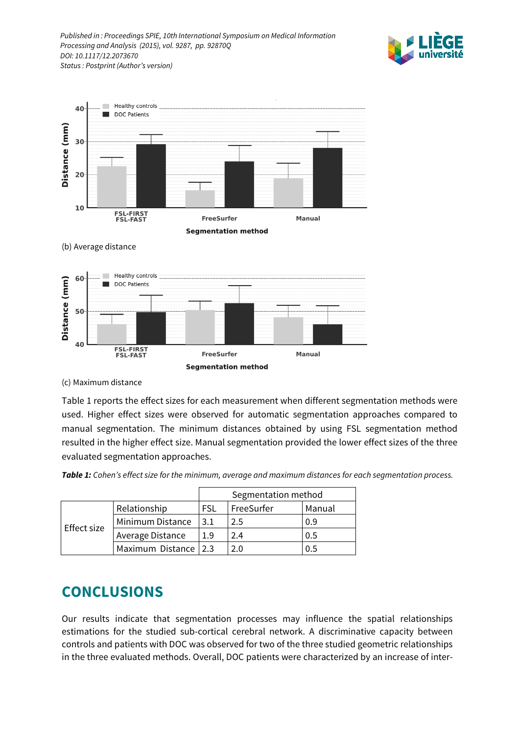



**Segmentation method** 

(b) Average distance



(c) Maximum distance

Table 1 reports the effect sizes for each measurement when different segmentation methods were used. Higher effect sizes were observed for automatic segmentation approaches compared to manual segmentation. The minimum distances obtained by using FSL segmentation method resulted in the higher effect size. Manual segmentation provided the lower effect sizes of the three evaluated segmentation approaches.

**Table 1:** Cohen's effect size for the minimum, average and maximum distances for each segmentation process.

|             |                        | Segmentation method |            |        |
|-------------|------------------------|---------------------|------------|--------|
| Effect size | Relationship           | FSL                 | FreeSurfer | Manual |
|             | Minimum Distance       | 3.1                 | 2.5        | 0.9    |
|             | Average Distance       | 1.9                 | 2.4        | 0.5    |
|             | Maximum Distance   2.3 |                     | 2.0        | 0.5    |

### **CONCLUSIONS**

Our results indicate that segmentation processes may influence the spatial relationships estimations for the studied sub-cortical cerebral network. A discriminative capacity between controls and patients with DOC was observed for two of the three studied geometric relationships in the three evaluated methods. Overall, DOC patients were characterized by an increase of inter-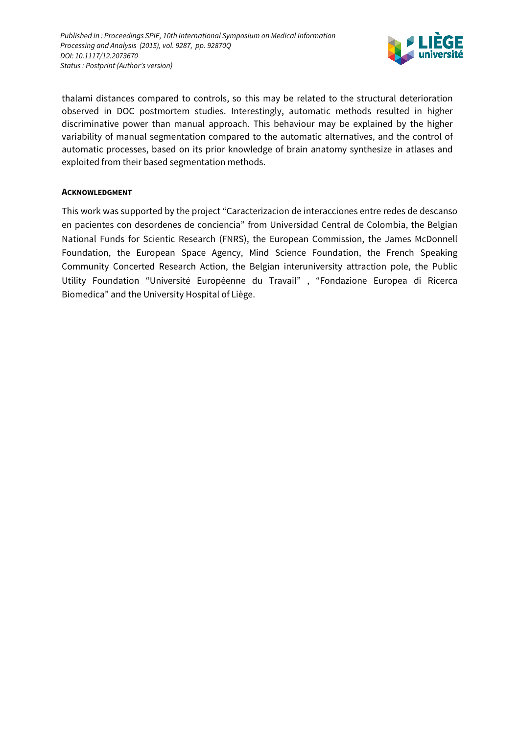

thalami distances compared to controls, so this may be related to the structural deterioration observed in DOC postmortem studies. Interestingly, automatic methods resulted in higher discriminative power than manual approach. This behaviour may be explained by the higher variability of manual segmentation compared to the automatic alternatives, and the control of automatic processes, based on its prior knowledge of brain anatomy synthesize in atlases and exploited from their based segmentation methods.

#### **ACKNOWLEDGMENT**

This work was supported by the project "Caracterizacion de interacciones entre redes de descanso en pacientes con desordenes de conciencia" from Universidad Central de Colombia, the Belgian National Funds for Scientic Research (FNRS), the European Commission, the James McDonnell Foundation, the European Space Agency, Mind Science Foundation, the French Speaking Community Concerted Research Action, the Belgian interuniversity attraction pole, the Public Utility Foundation "Université Européenne du Travail" , "Fondazione Europea di Ricerca Biomedica" and the University Hospital of Liège.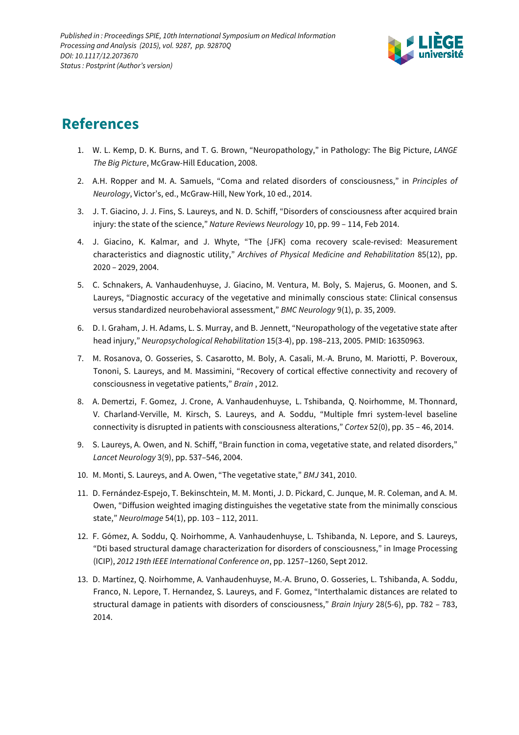

## **References**

- 1. W. L. Kemp, D. K. Burns, and T. G. Brown, "Neuropathology," in Pathology: The Big Picture, LANGE The Big Picture, McGraw-Hill Education, 2008.
- 2. A.H. Ropper and M. A. Samuels, "Coma and related disorders of consciousness," in Principles of Neurology, Victor's, ed., McGraw-Hill, New York, 10 ed., 2014.
- 3. J. T. Giacino, J. J. Fins, S. Laureys, and N. D. Schiff, "Disorders of consciousness after acquired brain injury: the state of the science," Nature Reviews Neurology 10, pp. 99 – 114, Feb 2014.
- 4. J. Giacino, K. Kalmar, and J. Whyte, "The {JFK} coma recovery scale-revised: Measurement characteristics and diagnostic utility," Archives of Physical Medicine and Rehabilitation 85(12), pp. 2020 – 2029, 2004.
- 5. C. Schnakers, A. Vanhaudenhuyse, J. Giacino, M. Ventura, M. Boly, S. Majerus, G. Moonen, and S. Laureys, "Diagnostic accuracy of the vegetative and minimally conscious state: Clinical consensus versus standardized neurobehavioral assessment," BMC Neurology 9(1), p. 35, 2009.
- 6. D. I. Graham, J. H. Adams, L. S. Murray, and B. Jennett, "Neuropathology of the vegetative state after head injury," Neuropsychological Rehabilitation 15(3-4), pp. 198–213, 2005. PMID: 16350963.
- 7. M. Rosanova, O. Gosseries, S. Casarotto, M. Boly, A. Casali, M.-A. Bruno, M. Mariotti, P. Boveroux, Tononi, S. Laureys, and M. Massimini, "Recovery of cortical effective connectivity and recovery of consciousness in vegetative patients," Brain , 2012.
- 8. A. Demertzi, F. Gomez, J. Crone, A. Vanhaudenhuyse, L. Tshibanda, Q. Noirhomme, M. Thonnard, V. Charland-Verville, M. Kirsch, S. Laureys, and A. Soddu, "Multiple fmri system-level baseline connectivity is disrupted in patients with consciousness alterations," Cortex 52(0), pp. 35 – 46, 2014.
- 9. S. Laureys, A. Owen, and N. Schiff, "Brain function in coma, vegetative state, and related disorders," Lancet Neurology 3(9), pp. 537–546, 2004.
- 10. M. Monti, S. Laureys, and A. Owen, "The vegetative state," BMJ 341, 2010.
- 11. D. Fernández-Espejo, T. Bekinschtein, M. M. Monti, J. D. Pickard, C. Junque, M. R. Coleman, and A. M. Owen, "Diffusion weighted imaging distinguishes the vegetative state from the minimally conscious state," NeuroImage 54(1), pp. 103 – 112, 2011.
- 12. F. Gómez, A. Soddu, Q. Noirhomme, A. Vanhaudenhuyse, L. Tshibanda, N. Lepore, and S. Laureys, "Dti based structural damage characterization for disorders of consciousness," in Image Processing (ICIP), 2012 19th IEEE International Conference on, pp. 1257–1260, Sept 2012.
- 13. D. Martínez, Q. Noirhomme, A. Vanhaudenhuyse, M.-A. Bruno, O. Gosseries, L. Tshibanda, A. Soddu, Franco, N. Lepore, T. Hernandez, S. Laureys, and F. Gomez, "Interthalamic distances are related to structural damage in patients with disorders of consciousness," Brain Injury 28(5-6), pp. 782 – 783, 2014.